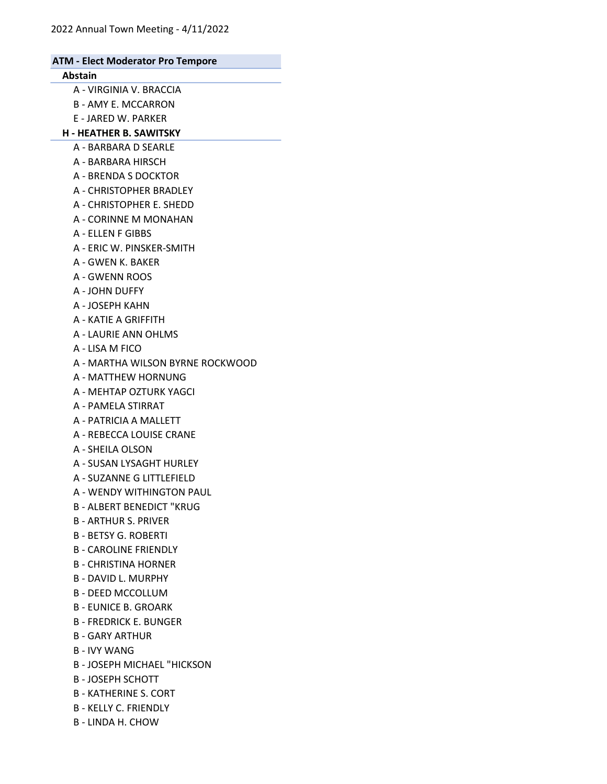| <b>ATM - Elect Moderator Pro Tempore</b> |  |
|------------------------------------------|--|
| <b>Abstain</b>                           |  |
| A - VIRGINIA V. BRACCIA                  |  |
| <b>B - AMY E. MCCARRON</b>               |  |
| E - JARED W. PARKER                      |  |
| <b>H - HEATHER B. SAWITSKY</b>           |  |
| A - BARBARA D SEARLE                     |  |
| A - BARBARA HIRSCH                       |  |
| A - BRENDA S DOCKTOR                     |  |
| A - CHRISTOPHER BRADLEY                  |  |
| A - CHRISTOPHER E. SHEDD                 |  |
| A - CORINNE M MONAHAN                    |  |
| A - ELLEN F GIBBS                        |  |
| A - ERIC W. PINSKER-SMITH                |  |
| A - GWEN K. BAKER                        |  |
| <b>A - GWENN ROOS</b>                    |  |
| A - JOHN DUFFY                           |  |
| A - JOSEPH KAHN                          |  |
| A - KATIE A GRIFFITH                     |  |
| A - LAURIE ANN OHLMS                     |  |
| A - LISA M FICO                          |  |
| A - MARTHA WILSON BYRNE ROCKWOOD         |  |
| A - MATTHEW HORNUNG                      |  |
| A - MEHTAP OZTURK YAGCI                  |  |
| A - PAMELA STIRRAT                       |  |
| A - PATRICIA A MALLETT                   |  |
| A - REBECCA LOUISE CRANE                 |  |
| A - SHEILA OLSON                         |  |
| A - SUSAN LYSAGHT HURLEY                 |  |
| A - SUZANNE G LITTLEFIELD                |  |
| A - WENDY WITHINGTON PAUL                |  |
| <b>B - ALBERT BENEDICT "KRUG</b>         |  |
| <b>B-ARTHUR S. PRIVER</b>                |  |
| <b>B - BETSY G. ROBERTI</b>              |  |
| <b>B-CAROLINE FRIENDLY</b>               |  |
| <b>B - CHRISTINA HORNER</b>              |  |
| <b>B - DAVID L. MURPHY</b>               |  |
| <b>B - DEED MCCOLLUM</b>                 |  |
| <b>B - EUNICE B. GROARK</b>              |  |
| <b>B-FREDRICK E. BUNGER</b>              |  |
| <b>B-GARY ARTHUR</b>                     |  |
| <b>B-IVY WANG</b>                        |  |
| <b>B-JOSEPH MICHAEL "HICKSON</b>         |  |
| <b>B-JOSEPH SCHOTT</b>                   |  |
| <b>B - KATHERINE S. CORT</b>             |  |

- B KELLY C. FRIENDLY
- B LINDA H. CHOW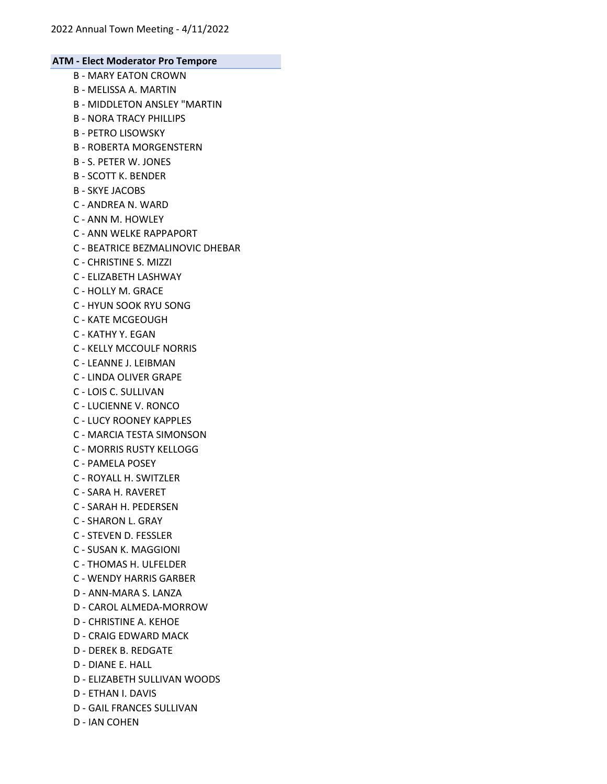- B MARY EATON CROWN
- B MELISSA A. MARTIN
- B MIDDLETON ANSLEY "MARTIN
- B NORA TRACY PHILLIPS
- B PETRO LISOWSKY
- B ROBERTA MORGENSTERN
- B S. PETER W. JONES
- B SCOTT K. BENDER
- B SKYE JACOBS
- C ANDREA N. WARD
- C ANN M. HOWLEY
- C ANN WELKE RAPPAPORT
- C BEATRICE BEZMALINOVIC DHEBAR
- C CHRISTINE S. MIZZI
- C ELIZABETH LASHWAY
- C HOLLY M. GRACE
- C HYUN SOOK RYU SONG
- C KATE MCGEOUGH
- C KATHY Y. EGAN
- C KELLY MCCOULF NORRIS
- C LEANNE J. LEIBMAN
- C LINDA OLIVER GRAPE
- C LOIS C. SULLIVAN
- C LUCIENNE V. RONCO
- C LUCY ROONEY KAPPLES
- C MARCIA TESTA SIMONSON
- C MORRIS RUSTY KELLOGG
- C PAMELA POSEY
- C ROYALL H. SWITZLER
- C SARA H. RAVERET
- C SARAH H. PEDERSEN
- C SHARON L. GRAY
- C STEVEN D. FESSLER
- C SUSAN K. MAGGIONI
- C THOMAS H. ULFELDER
- C WENDY HARRIS GARBER
- D ANN-MARA S. LANZA
- D CAROL ALMEDA-MORROW
- D CHRISTINE A. KEHOE
- D CRAIG EDWARD MACK
- D DEREK B. REDGATE
- D DIANE E. HALL
- D ELIZABETH SULLIVAN WOODS
- D ETHAN I. DAVIS
- D GAIL FRANCES SULLIVAN
- D IAN COHEN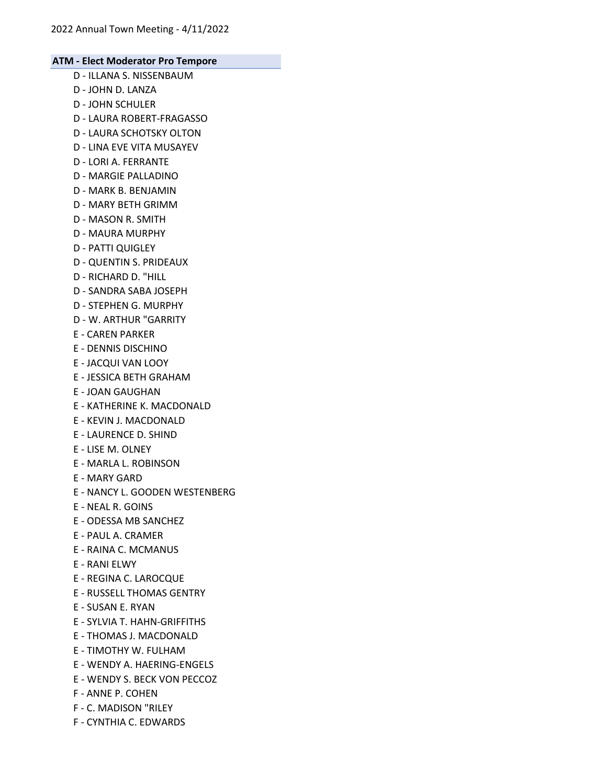- D ILLANA S. NISSENBAUM
- D JOHN D. LANZA
- D JOHN SCHULER
- D LAURA ROBERT-FRAGASSO
- D LAURA SCHOTSKY OLTON
- D LINA EVE VITA MUSAYEV
- D LORI A. FERRANTE
- D MARGIE PALLADINO
- D MARK B. BENJAMIN
- D MARY BETH GRIMM
- D MASON R. SMITH
- D MAURA MURPHY
- D PATTI QUIGLEY
- D QUENTIN S. PRIDEAUX
- D RICHARD D. "HILL
- D SANDRA SABA JOSEPH
- D STEPHEN G. MURPHY
- D W. ARTHUR "GARRITY
- E CAREN PARKER
- E DENNIS DISCHINO
- E JACQUI VAN LOOY
- E JESSICA BETH GRAHAM
- E JOAN GAUGHAN
- E KATHERINE K. MACDONALD
- E KEVIN J. MACDONALD
- E LAURENCE D. SHIND
- E LISE M. OLNEY
- E MARLA L. ROBINSON
- E MARY GARD
- E NANCY L. GOODEN WESTENBERG
- E NEAL R. GOINS
- E ODESSA MB SANCHEZ
- E PAUL A. CRAMER
- E RAINA C. MCMANUS
- E RANI ELWY
- E REGINA C. LAROCQUE
- E RUSSELL THOMAS GENTRY
- E SUSAN E. RYAN
- E SYLVIA T. HAHN-GRIFFITHS
- E THOMAS J. MACDONALD
- E TIMOTHY W. FULHAM
- E WENDY A. HAERING-ENGELS
- E WENDY S. BECK VON PECCOZ
- F ANNE P. COHEN
- F C. MADISON "RILEY
- F CYNTHIA C. EDWARDS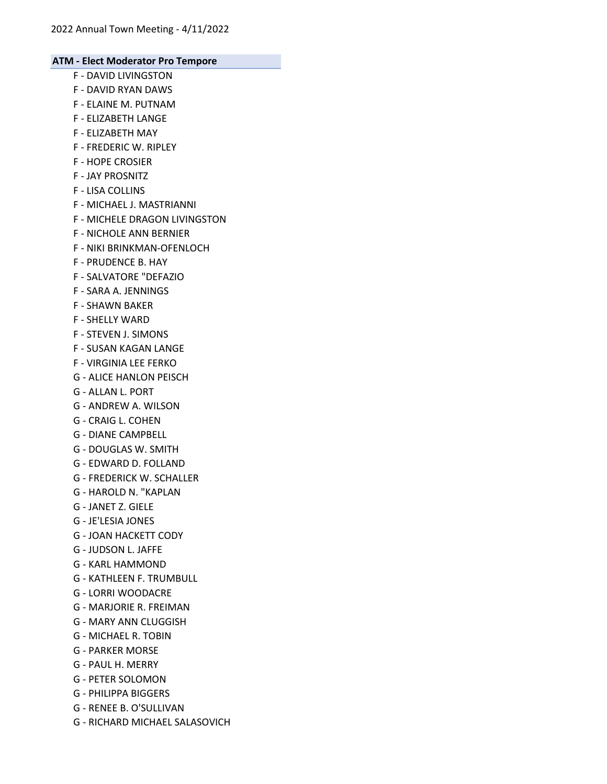- F DAVID LIVINGSTON
- F DAVID RYAN DAWS
- F ELAINE M. PUTNAM
- F ELIZABETH LANGE
- F ELIZABETH MAY
- F FREDERIC W. RIPLEY
- F HOPE CROSIER
- F JAY PROSNITZ
- F LISA COLLINS
- F MICHAEL J. MASTRIANNI
- F MICHELE DRAGON LIVINGSTON
- F NICHOLE ANN BERNIER
- F NIKI BRINKMAN-OFENLOCH
- F PRUDENCE B. HAY
- F SALVATORE "DEFAZIO
- F SARA A. JENNINGS
- F SHAWN BAKER
- F SHELLY WARD
- F STEVEN J. SIMONS
- F SUSAN KAGAN LANGE
- F VIRGINIA LEE FERKO
- G ALICE HANLON PEISCH
- G ALLAN L. PORT
- G ANDREW A. WILSON
- G CRAIG L. COHEN
- G DIANE CAMPBELL
- G DOUGLAS W. SMITH
- G EDWARD D. FOLLAND
- G FREDERICK W. SCHALLER
- G HAROLD N. "KAPLAN
- G JANET Z. GIELE
- G JE'LESIA JONES
- G JOAN HACKETT CODY
- G JUDSON L. JAFFE
- G KARL HAMMOND
- G KATHLEEN F. TRUMBULL
- G LORRI WOODACRE
- G MARJORIE R. FREIMAN
- G MARY ANN CLUGGISH
- G MICHAEL R. TOBIN
- G PARKER MORSE
- G PAUL H. MERRY
- G PETER SOLOMON
- G PHILIPPA BIGGERS
- G RENEE B. O'SULLIVAN
- G RICHARD MICHAEL SALASOVICH